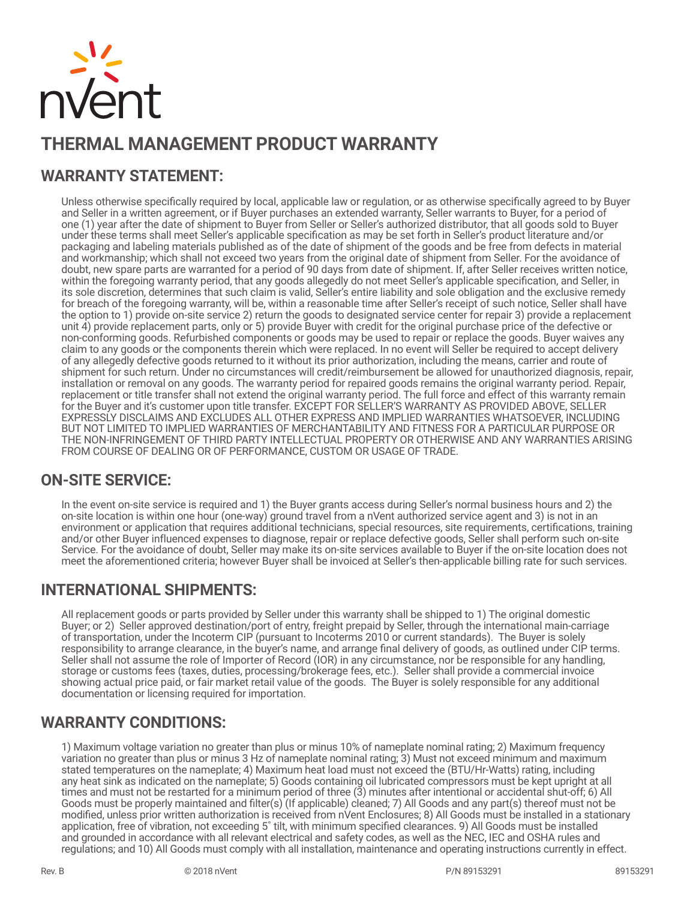

# **THERMAL MANAGEMENT PRODUCT WARRANTY**

# **WARRANTY STATEMENT:**

Unless otherwise specifically required by local, applicable law or regulation, or as otherwise specifically agreed to by Buyer and Seller in a written agreement, or if Buyer purchases an extended warranty, Seller warrants to Buyer, for a period of one (1) year after the date of shipment to Buyer from Seller or Seller's authorized distributor, that all goods sold to Buyer under these terms shall meet Seller's applicable specification as may be set forth in Seller's product literature and/or packaging and labeling materials published as of the date of shipment of the goods and be free from defects in material and workmanship; which shall not exceed two years from the original date of shipment from Seller. For the avoidance of doubt, new spare parts are warranted for a period of 90 days from date of shipment. If, after Seller receives written notice, within the foregoing warranty period, that any goods allegedly do not meet Seller's applicable specification, and Seller, in its sole discretion, determines that such claim is valid, Seller's entire liability and sole obligation and the exclusive remedy for breach of the foregoing warranty, will be, within a reasonable time after Seller's receipt of such notice, Seller shall have the option to 1) provide on-site service 2) return the goods to designated service center for repair 3) provide a replacement unit 4) provide replacement parts, only or 5) provide Buyer with credit for the original purchase price of the defective or non-conforming goods. Refurbished components or goods may be used to repair or replace the goods. Buyer waives any claim to any goods or the components therein which were replaced. In no event will Seller be required to accept delivery of any allegedly defective goods returned to it without its prior authorization, including the means, carrier and route of shipment for such return. Under no circumstances will credit/reimbursement be allowed for unauthorized diagnosis, repair, installation or removal on any goods. The warranty period for repaired goods remains the original warranty period. Repair, replacement or title transfer shall not extend the original warranty period. The full force and effect of this warranty remain for the Buyer and it's customer upon title transfer. EXCEPT FOR SELLER'S WARRANTY AS PROVIDED ABOVE, SELLER EXPRESSLY DISCLAIMS AND EXCLUDES ALL OTHER EXPRESS AND IMPLIED WARRANTIES WHATSOEVER, INCLUDING BUT NOT LIMITED TO IMPLIED WARRANTIES OF MERCHANTABILITY AND FITNESS FOR A PARTICULAR PURPOSE OR THE NON-INFRINGEMENT OF THIRD PARTY INTELLECTUAL PROPERTY OR OTHERWISE AND ANY WARRANTIES ARISING FROM COURSE OF DEALING OR OF PERFORMANCE, CUSTOM OR USAGE OF TRADE.

#### **ON-SITE SERVICE:**

In the event on-site service is required and 1) the Buyer grants access during Seller's normal business hours and 2) the on-site location is within one hour (one-way) ground travel from a nVent authorized service agent and 3) is not in an environment or application that requires additional technicians, special resources, site requirements, certifications, training and/or other Buyer influenced expenses to diagnose, repair or replace defective goods, Seller shall perform such on-site Service. For the avoidance of doubt, Seller may make its on-site services available to Buyer if the on-site location does not meet the aforementioned criteria; however Buyer shall be invoiced at Seller's then-applicable billing rate for such services.

#### **INTERNATIONAL SHIPMENTS:**

All replacement goods or parts provided by Seller under this warranty shall be shipped to 1) The original domestic Buyer; or 2) Seller approved destination/port of entry, freight prepaid by Seller, through the international main-carriage of transportation, under the Incoterm CIP (pursuant to Incoterms 2010 or current standards). The Buyer is solely responsibility to arrange clearance, in the buyer's name, and arrange final delivery of goods, as outlined under CIP terms. Seller shall not assume the role of Importer of Record (IOR) in any circumstance, nor be responsible for any handling, storage or customs fees (taxes, duties, processing/brokerage fees, etc.). Seller shall provide a commercial invoice showing actual price paid, or fair market retail value of the goods. The Buyer is solely responsible for any additional documentation or licensing required for importation.

#### **WARRANTY CONDITIONS:**

1) Maximum voltage variation no greater than plus or minus 10% of nameplate nominal rating; 2) Maximum frequency variation no greater than plus or minus 3 Hz of nameplate nominal rating; 3) Must not exceed minimum and maximum stated temperatures on the nameplate; 4) Maximum heat load must not exceed the (BTU/Hr-Watts) rating, including any heat sink as indicated on the nameplate; 5) Goods containing oil lubricated compressors must be kept upright at all times and must not be restarted for a minimum period of three (3) minutes after intentional or accidental shut-off; 6) All Goods must be properly maintained and filter(s) (If applicable) cleaned; 7) All Goods and any part(s) thereof must not be modified, unless prior written authorization is received from nVent Enclosures; 8) All Goods must be installed in a stationary application, free of vibration, not exceeding 5˚ tilt, with minimum specified clearances. 9) All Goods must be installed and grounded in accordance with all relevant electrical and safety codes, as well as the NEC, IEC and OSHA rules and regulations; and 10) All Goods must comply with all installation, maintenance and operating instructions currently in effect.